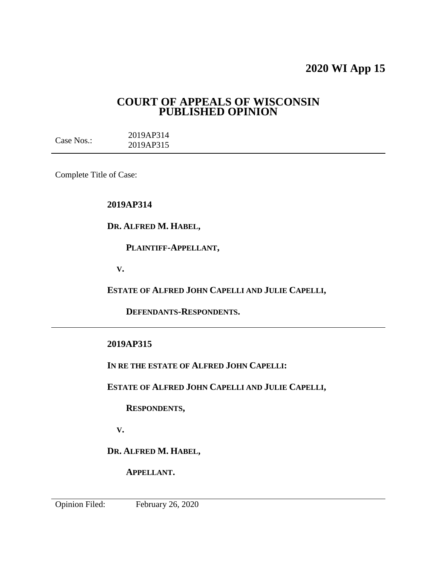# **2020 WI App 15**

# **COURT OF APPEALS OF WISCONSIN PUBLISHED OPINION**

Case Nos.: 2019AP314 2019AP315

Complete Title of Case:

**2019AP314**

**DR. ALFRED M. HABEL,**

 **PLAINTIFF-APPELLANT,**

 **V.**

**ESTATE OF ALFRED JOHN CAPELLI AND JULIE CAPELLI,**

 **DEFENDANTS-RESPONDENTS.**

## **2019AP315**

**IN RE THE ESTATE OF ALFRED JOHN CAPELLI:**

**ESTATE OF ALFRED JOHN CAPELLI AND JULIE CAPELLI,**

 **RESPONDENTS,**

 **V.**

**DR. ALFRED M. HABEL,**

 **APPELLANT.**

Opinion Filed: February 26, 2020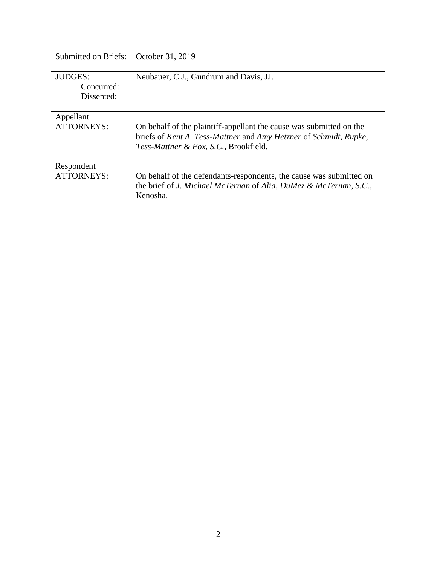| JUDGES:<br>Concurred:<br>Dissented: | Neubauer, C.J., Gundrum and Davis, JJ.                                                                                                                                            |
|-------------------------------------|-----------------------------------------------------------------------------------------------------------------------------------------------------------------------------------|
| Appellant                           |                                                                                                                                                                                   |
| <b>ATTORNEYS:</b>                   | On behalf of the plaintiff-appellant the cause was submitted on the<br>briefs of Kent A. Tess-Mattner and Amy Hetzner of Schmidt, Rupke,<br>Tess-Mattner & Fox, S.C., Brookfield. |
| Respondent<br>ATTORNEYS:            | On behalf of the defendants-respondents, the cause was submitted on<br>the brief of J. Michael McTernan of Alia, DuMez & McTernan, S.C.,<br>Kenosha.                              |

Submitted on Briefs: October 31, 2019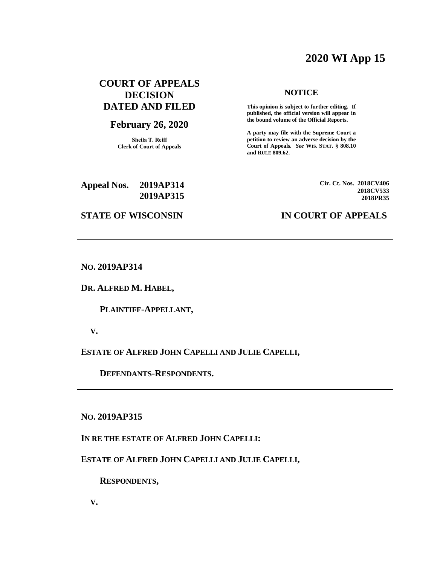# **2020 WI App 15**

# **COURT OF APPEALS DECISION DATED AND FILED**

# **February 26, 2020**

**Sheila T. Reiff Clerk of Court of Appeals**

#### **NOTICE**

**This opinion is subject to further editing. If published, the official version will appear in the bound volume of the Official Reports.** 

**A party may file with the Supreme Court a petition to review an adverse decision by the Court of Appeals.** *See* **WIS. STAT. § 808.10 and RULE 809.62.** 

**Appeal Nos. 2019AP314 2019AP315** **Cir. Ct. Nos. 2018CV406 2018CV533 2018PR35**

#### **STATE OF WISCONSIN IN COURT OF APPEALS**

**NO. 2019AP314**

**DR. ALFRED M. HABEL,**

 **PLAINTIFF-APPELLANT,**

 **V.**

**ESTATE OF ALFRED JOHN CAPELLI AND JULIE CAPELLI,**

 **DEFENDANTS-RESPONDENTS.**

**NO. 2019AP315**

**IN RE THE ESTATE OF ALFRED JOHN CAPELLI:**

**ESTATE OF ALFRED JOHN CAPELLI AND JULIE CAPELLI,**

 **RESPONDENTS,**

 **V.**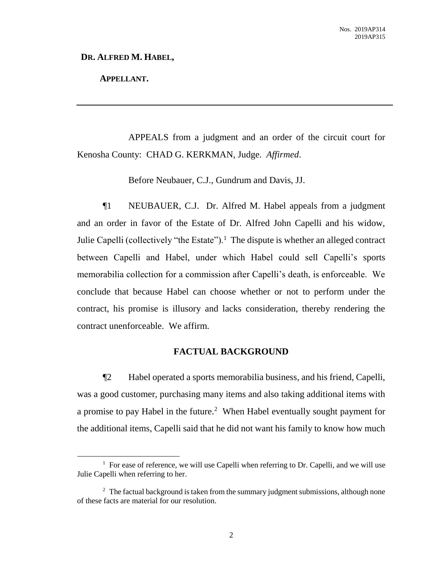#### **DR. ALFRED M. HABEL,**

## **APPELLANT.**

 $\overline{a}$ 

APPEALS from a judgment and an order of the circuit court for Kenosha County: CHAD G. KERKMAN, Judge. *Affirmed*.

Before Neubauer, C.J., Gundrum and Davis, JJ.

¶1 NEUBAUER, C.J. Dr. Alfred M. Habel appeals from a judgment and an order in favor of the Estate of Dr. Alfred John Capelli and his widow, Julie Capelli (collectively "the Estate").<sup>1</sup> The dispute is whether an alleged contract between Capelli and Habel, under which Habel could sell Capelli's sports memorabilia collection for a commission after Capelli's death, is enforceable. We conclude that because Habel can choose whether or not to perform under the contract, his promise is illusory and lacks consideration, thereby rendering the contract unenforceable. We affirm.

#### **FACTUAL BACKGROUND**

¶2 Habel operated a sports memorabilia business, and his friend, Capelli, was a good customer, purchasing many items and also taking additional items with a promise to pay Habel in the future.<sup>2</sup> When Habel eventually sought payment for the additional items, Capelli said that he did not want his family to know how much

 $<sup>1</sup>$  For ease of reference, we will use Capelli when referring to Dr. Capelli, and we will use</sup> Julie Capelli when referring to her.

 $2$  The factual background is taken from the summary judgment submissions, although none of these facts are material for our resolution.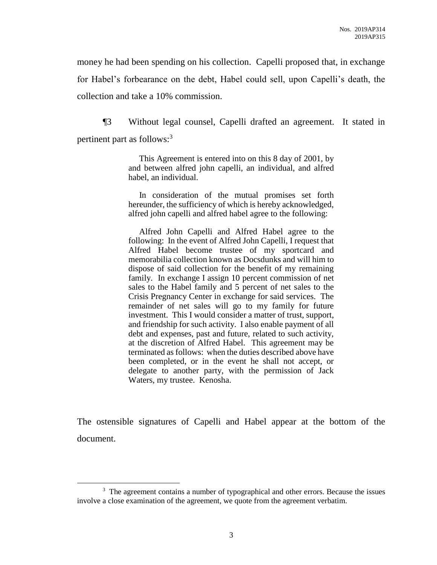money he had been spending on his collection. Capelli proposed that, in exchange for Habel's forbearance on the debt, Habel could sell, upon Capelli's death, the collection and take a 10% commission.

¶3 Without legal counsel, Capelli drafted an agreement. It stated in pertinent part as follows:<sup>3</sup>

> This Agreement is entered into on this 8 day of 2001, by and between alfred john capelli, an individual, and alfred habel, an individual.

> In consideration of the mutual promises set forth hereunder, the sufficiency of which is hereby acknowledged, alfred john capelli and alfred habel agree to the following:

> Alfred John Capelli and Alfred Habel agree to the following: In the event of Alfred John Capelli, I request that Alfred Habel become trustee of my sportcard and memorabilia collection known as Docsdunks and will him to dispose of said collection for the benefit of my remaining family. In exchange I assign 10 percent commission of net sales to the Habel family and 5 percent of net sales to the Crisis Pregnancy Center in exchange for said services. The remainder of net sales will go to my family for future investment. This I would consider a matter of trust, support, and friendship for such activity. I also enable payment of all debt and expenses, past and future, related to such activity, at the discretion of Alfred Habel. This agreement may be terminated as follows: when the duties described above have been completed, or in the event he shall not accept, or delegate to another party, with the permission of Jack Waters, my trustee. Kenosha.

The ostensible signatures of Capelli and Habel appear at the bottom of the document.

<sup>&</sup>lt;sup>3</sup> The agreement contains a number of typographical and other errors. Because the issues involve a close examination of the agreement, we quote from the agreement verbatim.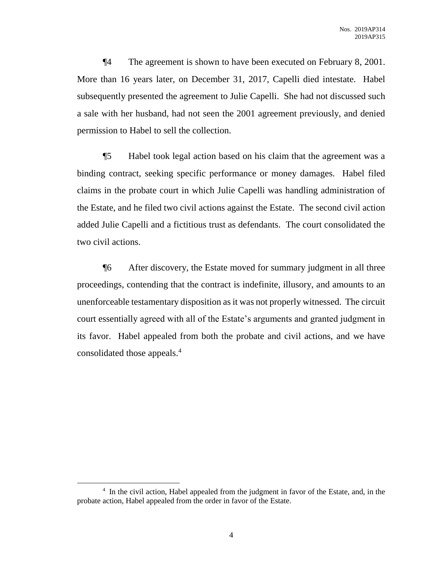¶4 The agreement is shown to have been executed on February 8, 2001. More than 16 years later, on December 31, 2017, Capelli died intestate. Habel subsequently presented the agreement to Julie Capelli. She had not discussed such a sale with her husband, had not seen the 2001 agreement previously, and denied permission to Habel to sell the collection.

¶5 Habel took legal action based on his claim that the agreement was a binding contract, seeking specific performance or money damages. Habel filed claims in the probate court in which Julie Capelli was handling administration of the Estate, and he filed two civil actions against the Estate. The second civil action added Julie Capelli and a fictitious trust as defendants. The court consolidated the two civil actions.

¶6 After discovery, the Estate moved for summary judgment in all three proceedings, contending that the contract is indefinite, illusory, and amounts to an unenforceable testamentary disposition as it was not properly witnessed. The circuit court essentially agreed with all of the Estate's arguments and granted judgment in its favor. Habel appealed from both the probate and civil actions, and we have consolidated those appeals.<sup>4</sup>

<sup>&</sup>lt;sup>4</sup> In the civil action, Habel appealed from the judgment in favor of the Estate, and, in the probate action, Habel appealed from the order in favor of the Estate.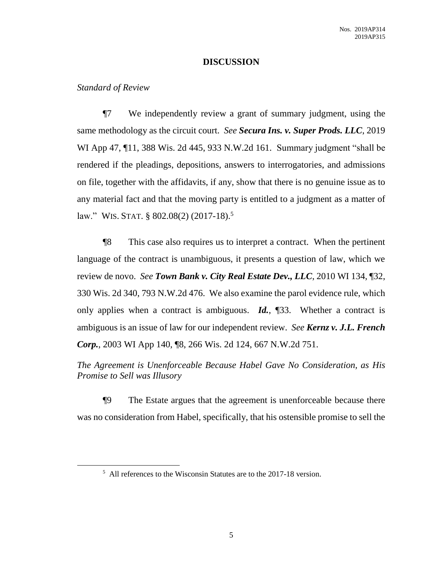## **DISCUSSION**

#### *Standard of Review*

 $\overline{a}$ 

¶7 We independently review a grant of summary judgment, using the same methodology as the circuit court. *See Secura Ins. v. Super Prods. LLC*, 2019 WI App 47, ¶11, 388 Wis. 2d 445, 933 N.W.2d 161. Summary judgment "shall be rendered if the pleadings, depositions, answers to interrogatories, and admissions on file, together with the affidavits, if any, show that there is no genuine issue as to any material fact and that the moving party is entitled to a judgment as a matter of law." WIS. STAT. § 802.08(2) (2017-18).<sup>5</sup>

¶8 This case also requires us to interpret a contract. When the pertinent language of the contract is unambiguous, it presents a question of law, which we review de novo. *See Town Bank v. City Real Estate Dev., LLC*, 2010 WI 134, ¶32, 330 Wis. 2d 340, 793 N.W.2d 476. We also examine the parol evidence rule, which only applies when a contract is ambiguous. *Id.*, ¶33. Whether a contract is ambiguous is an issue of law for our independent review. *See Kernz v. J.L. French Corp.*, 2003 WI App 140, ¶8, 266 Wis. 2d 124, 667 N.W.2d 751.

*The Agreement is Unenforceable Because Habel Gave No Consideration, as His Promise to Sell was Illusory*

¶9 The Estate argues that the agreement is unenforceable because there was no consideration from Habel, specifically, that his ostensible promise to sell the

<sup>&</sup>lt;sup>5</sup> All references to the Wisconsin Statutes are to the 2017-18 version.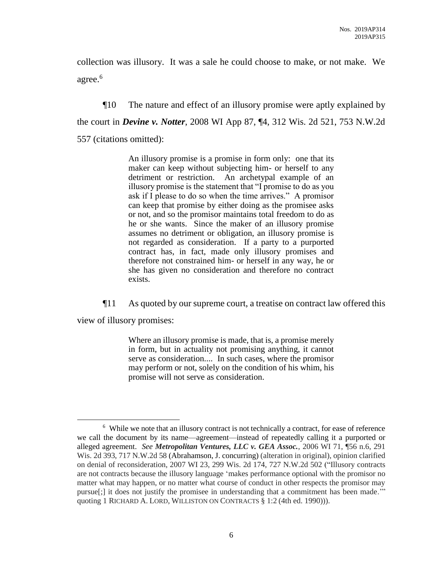collection was illusory. It was a sale he could choose to make, or not make. We agree.<sup>6</sup>

¶10 The nature and effect of an illusory promise were aptly explained by the court in *Devine v. Notter*, 2008 WI App 87, ¶4, 312 Wis. 2d 521, 753 N.W.2d 557 (citations omitted):

> An illusory promise is a promise in form only: one that its maker can keep without subjecting him- or herself to any detriment or restriction. An archetypal example of an illusory promise is the statement that "I promise to do as you ask if I please to do so when the time arrives." A promisor can keep that promise by either doing as the promisee asks or not, and so the promisor maintains total freedom to do as he or she wants. Since the maker of an illusory promise assumes no detriment or obligation, an illusory promise is not regarded as consideration. If a party to a purported contract has, in fact, made only illusory promises and therefore not constrained him- or herself in any way, he or she has given no consideration and therefore no contract exists.

¶11 As quoted by our supreme court, a treatise on contract law offered this

view of illusory promises:

 $\overline{a}$ 

Where an illusory promise is made, that is, a promise merely in form, but in actuality not promising anything, it cannot serve as consideration.... In such cases, where the promisor may perform or not, solely on the condition of his whim, his promise will not serve as consideration.

<sup>&</sup>lt;sup>6</sup> While we note that an illusory contract is not technically a contract, for ease of reference we call the document by its name—agreement—instead of repeatedly calling it a purported or alleged agreement. *See Metropolitan Ventures, LLC v. GEA Assoc.*, 2006 WI 71, ¶56 n.6, 291 Wis. 2d 393, 717 N.W.2d 58 (Abrahamson, J. concurring) (alteration in original), opinion clarified on denial of reconsideration, 2007 WI 23, 299 Wis. 2d 174, 727 N.W.2d 502 ("Illusory contracts are not contracts because the illusory language 'makes performance optional with the promisor no matter what may happen, or no matter what course of conduct in other respects the promisor may pursue[;] it does not justify the promisee in understanding that a commitment has been made.'" quoting 1 RICHARD A. LORD, WILLISTON ON CONTRACTS § 1:2 (4th ed. 1990))).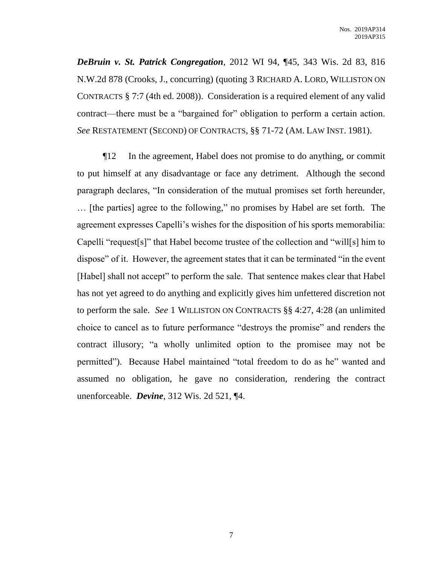*DeBruin v. St. Patrick Congregation*, 2012 WI 94, ¶45, 343 Wis. 2d 83, 816 N.W.2d 878 (Crooks, J., concurring) (quoting 3 RICHARD A. LORD, WILLISTON ON CONTRACTS § 7:7 (4th ed. 2008)). Consideration is a required element of any valid contract—there must be a "bargained for" obligation to perform a certain action. *See* RESTATEMENT (SECOND) OF CONTRACTS, §§ 71-72 (AM. LAW INST. 1981).

¶12 In the agreement, Habel does not promise to do anything, or commit to put himself at any disadvantage or face any detriment. Although the second paragraph declares, "In consideration of the mutual promises set forth hereunder, … [the parties] agree to the following," no promises by Habel are set forth. The agreement expresses Capelli's wishes for the disposition of his sports memorabilia: Capelli "request[s]" that Habel become trustee of the collection and "will[s] him to dispose" of it. However, the agreement states that it can be terminated "in the event [Habel] shall not accept" to perform the sale. That sentence makes clear that Habel has not yet agreed to do anything and explicitly gives him unfettered discretion not to perform the sale. *See* 1 WILLISTON ON CONTRACTS §§ 4:27, 4:28 (an unlimited choice to cancel as to future performance "destroys the promise" and renders the contract illusory; "a wholly unlimited option to the promisee may not be permitted"). Because Habel maintained "total freedom to do as he" wanted and assumed no obligation, he gave no consideration, rendering the contract unenforceable. *Devine*, 312 Wis. 2d 521, ¶4.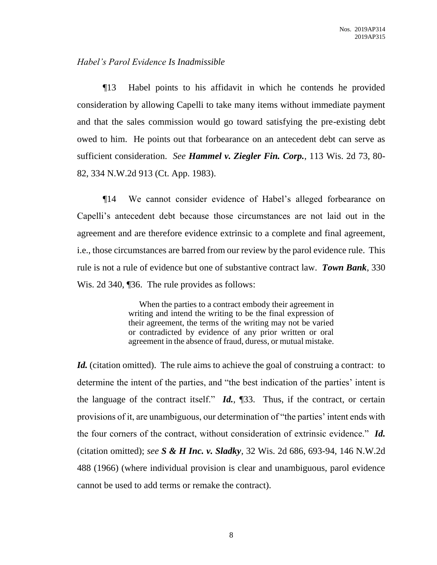# *Habel's Parol Evidence Is Inadmissible*

¶13 Habel points to his affidavit in which he contends he provided consideration by allowing Capelli to take many items without immediate payment and that the sales commission would go toward satisfying the pre-existing debt owed to him. He points out that forbearance on an antecedent debt can serve as sufficient consideration. *See Hammel v. Ziegler Fin. Corp.*, 113 Wis. 2d 73, 80- 82, 334 N.W.2d 913 (Ct. App. 1983).

¶14 We cannot consider evidence of Habel's alleged forbearance on Capelli's antecedent debt because those circumstances are not laid out in the agreement and are therefore evidence extrinsic to a complete and final agreement, i.e., those circumstances are barred from our review by the parol evidence rule. This rule is not a rule of evidence but one of substantive contract law. *Town Bank*, 330 Wis. 2d 340, [36. The rule provides as follows:

> When the parties to a contract embody their agreement in writing and intend the writing to be the final expression of their agreement, the terms of the writing may not be varied or contradicted by evidence of any prior written or oral agreement in the absence of fraud, duress, or mutual mistake.

*Id.* (citation omitted). The rule aims to achieve the goal of construing a contract: to determine the intent of the parties, and "the best indication of the parties' intent is the language of the contract itself." *Id.*, ¶33. Thus, if the contract, or certain provisions of it, are unambiguous, our determination of "the parties' intent ends with the four corners of the contract, without consideration of extrinsic evidence." *Id.* (citation omitted); *see S & H Inc. v. Sladky*, 32 Wis. 2d 686, 693-94, 146 N.W.2d 488 (1966) (where individual provision is clear and unambiguous, parol evidence cannot be used to add terms or remake the contract).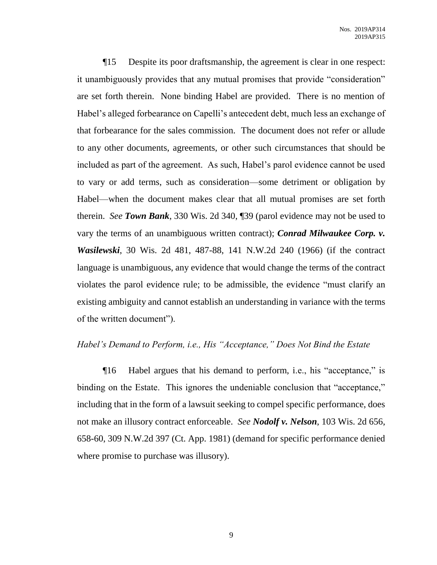¶15 Despite its poor draftsmanship, the agreement is clear in one respect: it unambiguously provides that any mutual promises that provide "consideration" are set forth therein. None binding Habel are provided. There is no mention of Habel's alleged forbearance on Capelli's antecedent debt, much less an exchange of that forbearance for the sales commission. The document does not refer or allude to any other documents, agreements, or other such circumstances that should be included as part of the agreement. As such, Habel's parol evidence cannot be used to vary or add terms, such as consideration—some detriment or obligation by Habel—when the document makes clear that all mutual promises are set forth therein. *See Town Bank*, 330 Wis. 2d 340, ¶39 (parol evidence may not be used to vary the terms of an unambiguous written contract); *Conrad Milwaukee Corp. v. Wasilewski*, 30 Wis. 2d 481, 487-88, 141 N.W.2d 240 (1966) (if the contract language is unambiguous, any evidence that would change the terms of the contract violates the parol evidence rule; to be admissible, the evidence "must clarify an existing ambiguity and cannot establish an understanding in variance with the terms of the written document").

## *Habel's Demand to Perform, i.e., His "Acceptance," Does Not Bind the Estate*

¶16 Habel argues that his demand to perform, i.e., his "acceptance," is binding on the Estate. This ignores the undeniable conclusion that "acceptance," including that in the form of a lawsuit seeking to compel specific performance, does not make an illusory contract enforceable. *See Nodolf v. Nelson*, 103 Wis. 2d 656, 658-60, 309 N.W.2d 397 (Ct. App. 1981) (demand for specific performance denied where promise to purchase was illusory).

9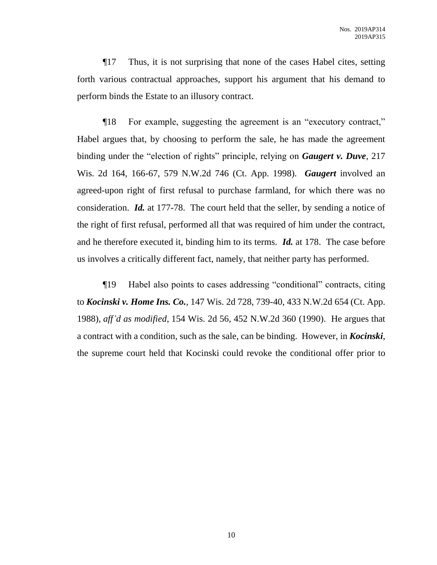¶17 Thus, it is not surprising that none of the cases Habel cites, setting forth various contractual approaches, support his argument that his demand to perform binds the Estate to an illusory contract.

¶18 For example, suggesting the agreement is an "executory contract," Habel argues that, by choosing to perform the sale, he has made the agreement binding under the "election of rights" principle, relying on *Gaugert v. Duve*, 217 Wis. 2d 164, 166-67, 579 N.W.2d 746 (Ct. App. 1998). *Gaugert* involved an agreed-upon right of first refusal to purchase farmland, for which there was no consideration. *Id.* at 177-78. The court held that the seller, by sending a notice of the right of first refusal, performed all that was required of him under the contract, and he therefore executed it, binding him to its terms. *Id.* at 178. The case before us involves a critically different fact, namely, that neither party has performed.

¶19 Habel also points to cases addressing "conditional" contracts, citing to *Kocinski v. Home Ins. Co.*, 147 Wis. 2d 728, 739-40, 433 N.W.2d 654 (Ct. App. 1988), *aff'd as modified*, 154 Wis. 2d 56, 452 N.W.2d 360 (1990). He argues that a contract with a condition, such as the sale, can be binding. However, in *Kocinski*, the supreme court held that Kocinski could revoke the conditional offer prior to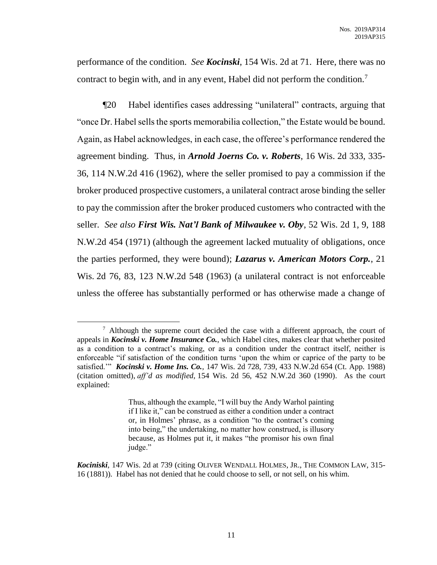performance of the condition. *See Kocinski*, 154 Wis. 2d at 71. Here, there was no contract to begin with, and in any event, Habel did not perform the condition.<sup>7</sup>

¶20 Habel identifies cases addressing "unilateral" contracts, arguing that "once Dr. Habel sells the sports memorabilia collection," the Estate would be bound. Again, as Habel acknowledges, in each case, the offeree's performance rendered the agreement binding. Thus, in *Arnold Joerns Co. v. Roberts*, 16 Wis. 2d 333, 335- 36, 114 N.W.2d 416 (1962), where the seller promised to pay a commission if the broker produced prospective customers, a unilateral contract arose binding the seller to pay the commission after the broker produced customers who contracted with the seller. *See also First Wis. Nat'l Bank of Milwaukee v. Oby*, 52 Wis. 2d 1, 9, 188 N.W.2d 454 (1971) (although the agreement lacked mutuality of obligations, once the parties performed, they were bound); *Lazarus v. American Motors Corp.*, 21 Wis. 2d 76, 83, 123 N.W.2d 548 (1963) (a unilateral contract is not enforceable unless the offeree has substantially performed or has otherwise made a change of

<sup>&</sup>lt;sup>7</sup> Although the supreme court decided the case with a different approach, the court of appeals in *Kocinski v. Home Insurance Co.*, which Habel cites, makes clear that whether posited as a condition to a contract's making, or as a condition under the contract itself, neither is enforceable "if satisfaction of the condition turns 'upon the whim or caprice of the party to be satisfied.'" *Kocinski v. Home Ins. Co.*, 147 Wis. 2d 728, 739, 433 N.W.2d 654 (Ct. App. 1988) (citation omitted), *aff'd as modified*, 154 Wis. 2d 56, 452 N.W.2d 360 (1990). As the court explained:

Thus, although the example, "I will buy the Andy Warhol painting if I like it," can be construed as either a condition under a contract or, in Holmes' phrase, as a condition "to the contract's coming into being," the undertaking, no matter how construed, is illusory because, as Holmes put it, it makes "the promisor his own final judge."

*Kociniski*, 147 Wis. 2d at 739 (citing OLIVER WENDALL HOLMES, JR., THE COMMON LAW, 315- 16 (1881)). Habel has not denied that he could choose to sell, or not sell, on his whim.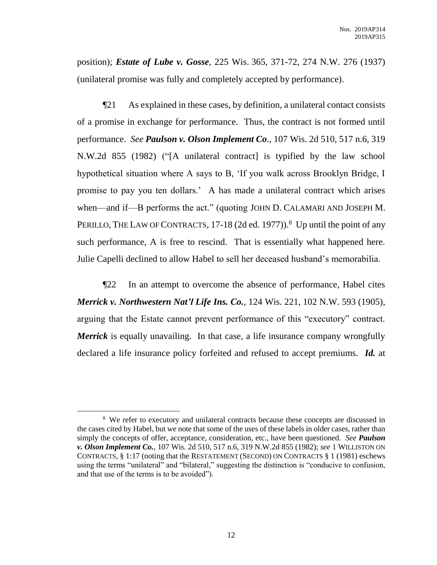position); *Estate of Lube v. Gosse*, 225 Wis. 365, 371-72, 274 N.W. 276 (1937) (unilateral promise was fully and completely accepted by performance).

¶21 As explained in these cases, by definition, a unilateral contact consists of a promise in exchange for performance. Thus, the contract is not formed until performance. *See Paulson v. Olson Implement Co*., 107 Wis. 2d 510, 517 n.6, 319 N.W.2d 855 (1982) ("[A unilateral contract] is typified by the law school hypothetical situation where A says to B, 'If you walk across Brooklyn Bridge, I promise to pay you ten dollars.' A has made a unilateral contract which arises when—and if—B performs the act." (quoting JOHN D. CALAMARI AND JOSEPH M. PERILLO, THE LAW OF CONTRACTS, 17-18 (2d ed. 1977)).<sup>8</sup> Up until the point of any such performance, A is free to rescind. That is essentially what happened here. Julie Capelli declined to allow Habel to sell her deceased husband's memorabilia.

¶22 In an attempt to overcome the absence of performance, Habel cites *Merrick v. Northwestern Nat'l Life Ins. Co.*, 124 Wis. 221, 102 N.W. 593 (1905), arguing that the Estate cannot prevent performance of this "executory" contract. *Merrick* is equally unavailing. In that case, a life insurance company wrongfully declared a life insurance policy forfeited and refused to accept premiums. *Id.* at

<sup>&</sup>lt;sup>8</sup> We refer to executory and unilateral contracts because these concepts are discussed in the cases cited by Habel, but we note that some of the uses of these labels in older cases, rather than simply the concepts of offer, acceptance, consideration, etc., have been questioned. *See Paulson v. Olson Implement Co.*, 107 Wis. 2d 510, 517 n.6, 319 N.W.2d 855 (1982); *see* 1 WILLISTON ON CONTRACTS, § 1:17 (noting that the RESTATEMENT (SECOND) ON CONTRACTS § 1 (1981) eschews using the terms "unilateral" and "bilateral," suggesting the distinction is "conducive to confusion, and that use of the terms is to be avoided").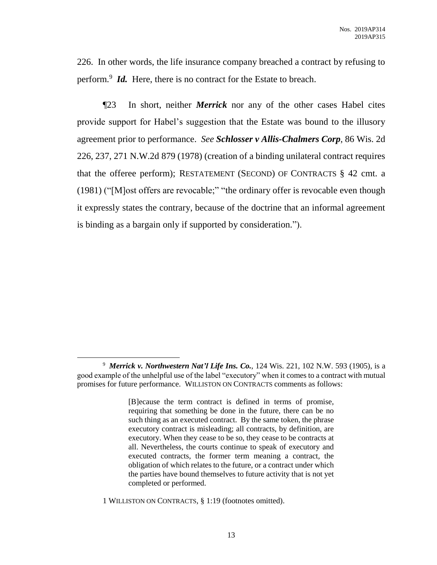226. In other words, the life insurance company breached a contract by refusing to perform.<sup>9</sup> *Id.* Here, there is no contract for the Estate to breach.

¶23 In short, neither *Merrick* nor any of the other cases Habel cites provide support for Habel's suggestion that the Estate was bound to the illusory agreement prior to performance. *See Schlosser v Allis-Chalmers Corp*, 86 Wis. 2d 226, 237, 271 N.W.2d 879 (1978) (creation of a binding unilateral contract requires that the offeree perform); RESTATEMENT (SECOND) OF CONTRACTS § 42 cmt. a (1981) ("[M]ost offers are revocable;" "the ordinary offer is revocable even though it expressly states the contrary, because of the doctrine that an informal agreement is binding as a bargain only if supported by consideration.").

<sup>9</sup> *Merrick v. Northwestern Nat'l Life Ins. Co.*, 124 Wis. 221, 102 N.W. 593 (1905), is a good example of the unhelpful use of the label "executory" when it comes to a contract with mutual promises for future performance. WILLISTON ON CONTRACTS comments as follows:

<sup>[</sup>B]ecause the term contract is defined in terms of promise, requiring that something be done in the future, there can be no such thing as an executed contract. By the same token, the phrase executory contract is misleading; all contracts, by definition, are executory. When they cease to be so, they cease to be contracts at all. Nevertheless, the courts continue to speak of executory and executed contracts, the former term meaning a contract, the obligation of which relates to the future, or a contract under which the parties have bound themselves to future activity that is not yet completed or performed.

<sup>1</sup> WILLISTON ON CONTRACTS, § 1:19 (footnotes omitted).